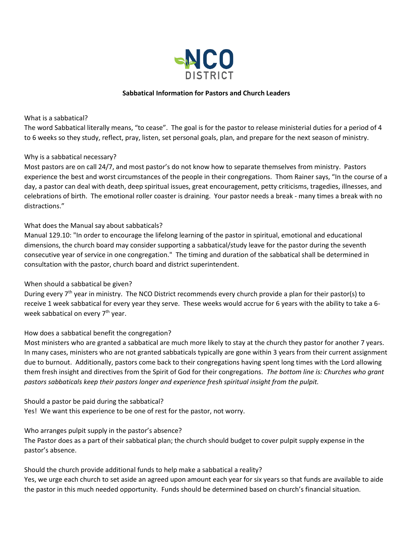

# **Sabbatical Information for Pastors and Church Leaders**

What is a sabbatical?

The word Sabbatical literally means, "to cease". The goal is for the pastor to release ministerial duties for a period of 4 to 6 weeks so they study, reflect, pray, listen, set personal goals, plan, and prepare for the next season of ministry.

# Why is a sabbatical necessary?

Most pastors are on call 24/7, and most pastor's do not know how to separate themselves from ministry. Pastors experience the best and worst circumstances of the people in their congregations. Thom Rainer says, "In the course of a day, a pastor can deal with death, deep spiritual issues, great encouragement, petty criticisms, tragedies, illnesses, and celebrations of birth. The emotional roller coaster is draining. Your pastor needs a break - many times a break with no distractions."

### What does the Manual say about sabbaticals?

Manual 129.10: "In order to encourage the lifelong learning of the pastor in spiritual, emotional and educational dimensions, the church board may consider supporting a sabbatical/study leave for the pastor during the seventh consecutive year of service in one congregation." The timing and duration of the sabbatical shall be determined in consultation with the pastor, church board and district superintendent.

### When should a sabbatical be given?

During every  $7<sup>th</sup>$  year in ministry. The NCO District recommends every church provide a plan for their pastor(s) to receive 1 week sabbatical for every year they serve. These weeks would accrue for 6 years with the ability to take a 6 week sabbatical on every 7<sup>th</sup> year.

# How does a sabbatical benefit the congregation?

Most ministers who are granted a sabbatical are much more likely to stay at the church they pastor for another 7 years. In many cases, ministers who are not granted sabbaticals typically are gone within 3 years from their current assignment due to burnout. Additionally, pastors come back to their congregations having spent long times with the Lord allowing them fresh insight and directives from the Spirit of God for their congregations. *The bottom line is: Churches who grant pastors sabbaticals keep their pastors longer and experience fresh spiritual insight from the pulpit.*

Should a pastor be paid during the sabbatical?

Yes! We want this experience to be one of rest for the pastor, not worry.

Who arranges pulpit supply in the pastor's absence?

The Pastor does as a part of their sabbatical plan; the church should budget to cover pulpit supply expense in the pastor's absence.

Should the church provide additional funds to help make a sabbatical a reality?

Yes, we urge each church to set aside an agreed upon amount each year for six years so that funds are available to aide the pastor in this much needed opportunity. Funds should be determined based on church's financial situation.